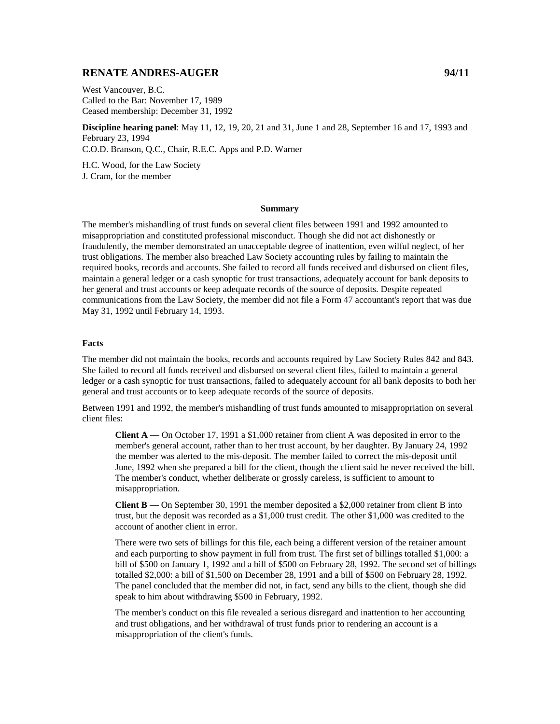# **RENATE ANDRES-AUGER 94/11**

West Vancouver, B.C. Called to the Bar: November 17, 1989 Ceased membership: December 31, 1992

**Discipline hearing panel**: May 11, 12, 19, 20, 21 and 31, June 1 and 28, September 16 and 17, 1993 and February 23, 1994 C.O.D. Branson, Q.C., Chair, R.E.C. Apps and P.D. Warner

H.C. Wood, for the Law Society J. Cram, for the member

#### **Summary**

The member's mishandling of trust funds on several client files between 1991 and 1992 amounted to misappropriation and constituted professional misconduct. Though she did not act dishonestly or fraudulently, the member demonstrated an unacceptable degree of inattention, even wilful neglect, of her trust obligations. The member also breached Law Society accounting rules by failing to maintain the required books, records and accounts. She failed to record all funds received and disbursed on client files, maintain a general ledger or a cash synoptic for trust transactions, adequately account for bank deposits to her general and trust accounts or keep adequate records of the source of deposits. Despite repeated communications from the Law Society, the member did not file a Form 47 accountant's report that was due May 31, 1992 until February 14, 1993.

## **Facts**

The member did not maintain the books, records and accounts required by Law Society Rules 842 and 843. She failed to record all funds received and disbursed on several client files, failed to maintain a general ledger or a cash synoptic for trust transactions, failed to adequately account for all bank deposits to both her general and trust accounts or to keep adequate records of the source of deposits.

Between 1991 and 1992, the member's mishandling of trust funds amounted to misappropriation on several client files:

**Client A** — On October 17, 1991 a \$1,000 retainer from client A was deposited in error to the member's general account, rather than to her trust account, by her daughter. By January 24, 1992 the member was alerted to the mis-deposit. The member failed to correct the mis-deposit until June, 1992 when she prepared a bill for the client, though the client said he never received the bill. The member's conduct, whether deliberate or grossly careless, is sufficient to amount to misappropriation.

**Client B** — On September 30, 1991 the member deposited a \$2,000 retainer from client B into trust, but the deposit was recorded as a \$1,000 trust credit. The other \$1,000 was credited to the account of another client in error.

There were two sets of billings for this file, each being a different version of the retainer amount and each purporting to show payment in full from trust. The first set of billings totalled \$1,000: a bill of \$500 on January 1, 1992 and a bill of \$500 on February 28, 1992. The second set of billings totalled \$2,000: a bill of \$1,500 on December 28, 1991 and a bill of \$500 on February 28, 1992. The panel concluded that the member did not, in fact, send any bills to the client, though she did speak to him about withdrawing \$500 in February, 1992.

The member's conduct on this file revealed a serious disregard and inattention to her accounting and trust obligations, and her withdrawal of trust funds prior to rendering an account is a misappropriation of the client's funds.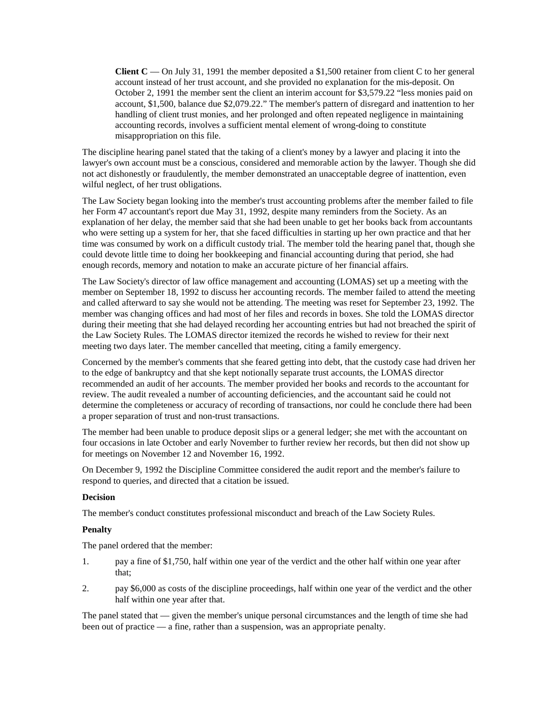**Client C** — On July 31, 1991 the member deposited a \$1,500 retainer from client C to her general account instead of her trust account, and she provided no explanation for the mis-deposit. On October 2, 1991 the member sent the client an interim account for \$3,579.22 "less monies paid on account, \$1,500, balance due \$2,079.22." The member's pattern of disregard and inattention to her handling of client trust monies, and her prolonged and often repeated negligence in maintaining accounting records, involves a sufficient mental element of wrong-doing to constitute misappropriation on this file.

The discipline hearing panel stated that the taking of a client's money by a lawyer and placing it into the lawyer's own account must be a conscious, considered and memorable action by the lawyer. Though she did not act dishonestly or fraudulently, the member demonstrated an unacceptable degree of inattention, even wilful neglect, of her trust obligations.

The Law Society began looking into the member's trust accounting problems after the member failed to file her Form 47 accountant's report due May 31, 1992, despite many reminders from the Society. As an explanation of her delay, the member said that she had been unable to get her books back from accountants who were setting up a system for her, that she faced difficulties in starting up her own practice and that her time was consumed by work on a difficult custody trial. The member told the hearing panel that, though she could devote little time to doing her bookkeeping and financial accounting during that period, she had enough records, memory and notation to make an accurate picture of her financial affairs.

The Law Society's director of law office management and accounting (LOMAS) set up a meeting with the member on September 18, 1992 to discuss her accounting records. The member failed to attend the meeting and called afterward to say she would not be attending. The meeting was reset for September 23, 1992. The member was changing offices and had most of her files and records in boxes. She told the LOMAS director during their meeting that she had delayed recording her accounting entries but had not breached the spirit of the Law Society Rules. The LOMAS director itemized the records he wished to review for their next meeting two days later. The member cancelled that meeting, citing a family emergency.

Concerned by the member's comments that she feared getting into debt, that the custody case had driven her to the edge of bankruptcy and that she kept notionally separate trust accounts, the LOMAS director recommended an audit of her accounts. The member provided her books and records to the accountant for review. The audit revealed a number of accounting deficiencies, and the accountant said he could not determine the completeness or accuracy of recording of transactions, nor could he conclude there had been a proper separation of trust and non-trust transactions.

The member had been unable to produce deposit slips or a general ledger; she met with the accountant on four occasions in late October and early November to further review her records, but then did not show up for meetings on November 12 and November 16, 1992.

On December 9, 1992 the Discipline Committee considered the audit report and the member's failure to respond to queries, and directed that a citation be issued.

### **Decision**

The member's conduct constitutes professional misconduct and breach of the Law Society Rules.

#### **Penalty**

The panel ordered that the member:

- 1. pay a fine of \$1,750, half within one year of the verdict and the other half within one year after that;
- 2. pay \$6,000 as costs of the discipline proceedings, half within one year of the verdict and the other half within one year after that.

The panel stated that — given the member's unique personal circumstances and the length of time she had been out of practice — a fine, rather than a suspension, was an appropriate penalty.